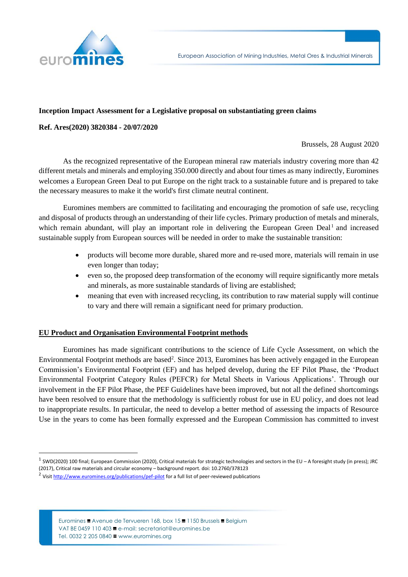

# **Inception Impact Assessment for a Legislative proposal on substantiating green claims**

### **Ref. Ares(2020) 3820384 - 20/07/2020**

Brussels, 28 August 2020

As the recognized representative of the European mineral raw materials industry covering more than 42 different metals and minerals and employing 350.000 directly and about four times as many indirectly, Euromines welcomes a European Green Deal to put Europe on the right track to a sustainable future and is prepared to take the necessary measures to make it the world's first climate neutral continent.

Euromines members are committed to facilitating and encouraging the promotion of safe use, recycling and disposal of products through an understanding of their life cycles. Primary production of metals and minerals, which remain abundant, will play an important role in delivering the European Green Deal<sup>1</sup> and increased sustainable supply from European sources will be needed in order to make the sustainable transition:

- products will become more durable, shared more and re-used more, materials will remain in use even longer than today;
- even so, the proposed deep transformation of the economy will require significantly more metals and minerals, as more sustainable standards of living are established;
- meaning that even with increased recycling, its contribution to raw material supply will continue to vary and there will remain a significant need for primary production.

#### **EU Product and Organisation Environmental Footprint methods**

Euromines has made significant contributions to the science of Life Cycle Assessment, on which the Environmental Footprint methods are based<sup>2</sup>. Since 2013, Euromines has been actively engaged in the European Commission's Environmental Footprint (EF) and has helped develop, during the EF Pilot Phase, the 'Product Environmental Footprint Category Rules (PEFCR) for Metal Sheets in Various Applications'. Through our involvement in the EF Pilot Phase, the PEF Guidelines have been improved, but not all the defined shortcomings have been resolved to ensure that the methodology is sufficiently robust for use in EU policy, and does not lead to inappropriate results. In particular, the need to develop a better method of assessing the impacts of Resource Use in the years to come has been formally expressed and the European Commission has committed to invest

Euromines ■ Avenue de Tervueren 168, box 15 = 1150 Brussels = Belgium VAT BE 0459 110 403 **≡** e-mail: secretariat@euromines.be Tel. 0032 2 205 0840 **■** www.euromines.org

 $^1$  SWD(2020) 100 final; European Commission (2020), Critical materials for strategic technologies and sectors in the EU – A foresight study (in press); JRC (2017), Critical raw materials and circular economy – background report. doi: 10.2760/378123

<sup>&</sup>lt;sup>2</sup> Visi[t http://www.euromines.org/publications/pef-pilot](http://www.euromines.org/publications/pef-pilot) for a full list of peer-reviewed publications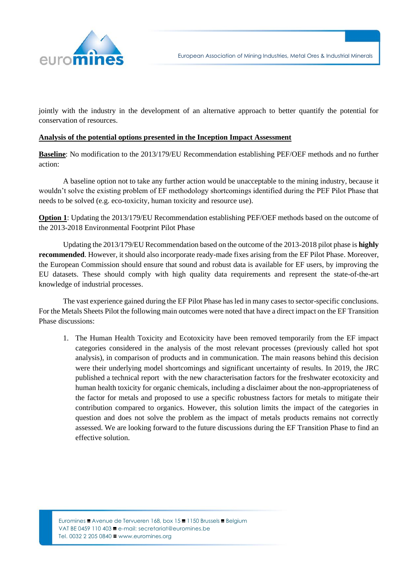

jointly with the industry in the development of an alternative approach to better quantify the potential for conservation of resources.

#### **Analysis of the potential options presented in the Inception Impact Assessment**

**Baseline**: No modification to the 2013/179/EU Recommendation establishing PEF/OEF methods and no further action:

A baseline option not to take any further action would be unacceptable to the mining industry, because it wouldn't solve the existing problem of EF methodology shortcomings identified during the PEF Pilot Phase that needs to be solved (e.g. eco-toxicity, human toxicity and resource use).

**Option 1**: Updating the 2013/179/EU Recommendation establishing PEF/OEF methods based on the outcome of the 2013-2018 Environmental Footprint Pilot Phase

Updating the 2013/179/EU Recommendation based on the outcome of the 2013-2018 pilot phase is **highly recommended**. However, it should also incorporate ready-made fixes arising from the EF Pilot Phase. Moreover, the European Commission should ensure that sound and robust data is available for EF users, by improving the EU datasets. These should comply with high quality data requirements and represent the state-of-the-art knowledge of industrial processes.

The vast experience gained during the EF Pilot Phase has led in many cases to sector-specific conclusions. For the Metals Sheets Pilot the following main outcomes were noted that have a direct impact on the EF Transition Phase discussions:

1. The Human Health Toxicity and Ecotoxicity have been removed temporarily from the EF impact categories considered in the analysis of the most relevant processes (previously called hot spot analysis), in comparison of products and in communication. The main reasons behind this decision were their underlying model shortcomings and significant uncertainty of results. In 2019, the JRC published a technical report with the new characterisation factors for the freshwater ecotoxicity and human health toxicity for organic chemicals, including a disclaimer about the non-appropriateness of the factor for metals and proposed to use a specific robustness factors for metals to mitigate their contribution compared to organics. However, this solution limits the impact of the categories in question and does not solve the problem as the impact of metals products remains not correctly assessed. We are looking forward to the future discussions during the EF Transition Phase to find an effective solution.

Euromines ■ Avenue de Tervueren 168, box 15 = 1150 Brussels = Belgium VAT BE 0459 110 403 **≡** e-mail: secretariat@euromines.be Tel. 0032 2 205 0840 **■** www.euromines.org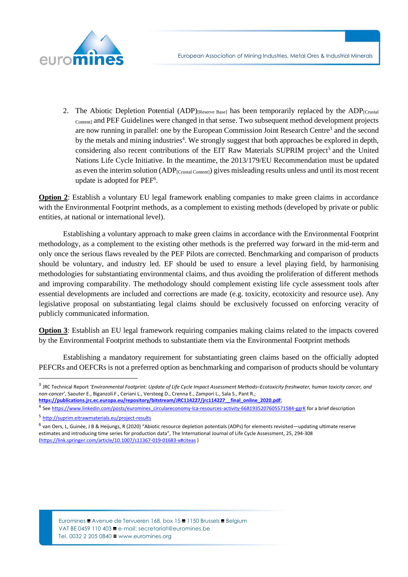

2. The Abiotic Depletion Potential  $(ADP)_{[Reserve\ Basel]}$  has been temporarily replaced by the  $ADP_{[Cnstal]}$ Content] and PEF Guidelines were changed in that sense. Two subsequent method development projects are now running in parallel: one by the European Commission Joint Research Centre<sup>3</sup> and the second by the metals and mining industries<sup>4</sup>. We strongly suggest that both approaches be explored in depth, considering also recent contributions of the EIT Raw Materials SUPRIM project<sup>5</sup> and the United Nations Life Cycle Initiative. In the meantime, the 2013/179/EU Recommendation must be updated as even the interim solution (ADP<sub>[Crustal Content]</sub>) gives misleading results unless and until its most recent update is adopted for PEF<sup>6</sup>.

**Option 2**: Establish a voluntary EU legal framework enabling companies to make green claims in accordance with the Environmental Footprint methods, as a complement to existing methods (developed by private or public entities, at national or international level).

Establishing a voluntary approach to make green claims in accordance with the Environmental Footprint methodology, as a complement to the existing other methods is the preferred way forward in the mid-term and only once the serious flaws revealed by the PEF Pilots are corrected. Benchmarking and comparison of products should be voluntary, and industry led. EF should be used to ensure a level playing field, by harmonising methodologies for substantiating environmental claims, and thus avoiding the proliferation of different methods and improving comparability. The methodology should complement existing life cycle assessment tools after essential developments are included and corrections are made (e.g. toxicity, ecotoxicity and resource use). Any legislative proposal on substantiating legal claims should be exclusively focussed on enforcing veracity of publicly communicated information.

**Option 3**: Establish an EU legal framework requiring companies making claims related to the impacts covered by the Environmental Footprint methods to substantiate them via the Environmental Footprint methods

Establishing a mandatory requirement for substantiating green claims based on the officially adopted PEFCRs and OEFCRs is not a preferred option as benchmarking and comparison of products should be voluntary

<sup>3</sup> JRC Technical Report *'Environmental Footprint: Update of Life Cycle Impact Assessment Methods–Ecotoxicity freshwater, human toxicity cancer, and non-cancer'*, Saouter E., Biganzoli F., Ceriani L., Versteeg D., Crenna E., Zampori L., Sala S., Pant R.;

https://publications.jrc.ec.europa.eu/repository/bitstream/JRC114227/jrc114227\_final\_online\_2020.pdf;

<sup>4</sup> Se[e https://www.linkedin.com/posts/euromines\\_circulareconomy-lca-resources-activity-6681935207605571584-ggrK](https://www.linkedin.com/posts/euromines_circulareconomy-lca-resources-activity-6681935207605571584-ggrK) for a brief description

<sup>5</sup> <http://suprim.eitrawmaterials.eu/project-results>

<sup>&</sup>lt;sup>6</sup> van Oers, L, Guinée, J B & Heijungs, R (2020) "Abiotic resource depletion potentials (ADPs) for elements revisited—updating ultimate reserve estimates and introducing time series for production data", The International Journal of Life Cycle Assessment, 25, 294-308 [\(https://link.springer.com/article/10.1007/s11367-019-01683-x#citeas](https://link.springer.com/article/10.1007/s11367-019-01683-x#citeas) )